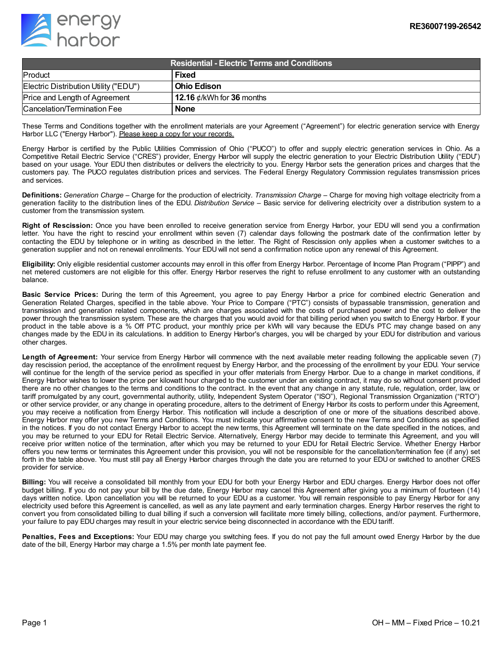

| <b>Residential - Electric Terms and Conditions</b> |                                 |
|----------------------------------------------------|---------------------------------|
| Product                                            | <b>Fixed</b>                    |
| Electric Distribution Utility ("EDU")              | l Ohio Edison                   |
| Price and Length of Agreement                      | 12.16 $\phi$ /kWh for 36 months |
| Cancelation/Termination Fee                        | <b>None</b>                     |

These Terms and Conditions together with the enrollment materials are your Agreement ("Agreement") for electric generation service with Energy Harbor LLC ("Energy Harbor"). Please keep a copy for your records.

Energy Harbor is certified by the Public Utilities Commission of Ohio ("PUCO") to offer and supply electric generation services in Ohio. As a Competitive Retail Electric Service ("CRES") provider, Energy Harbor will supply the electric generation to your Electric Distribution Utility ("EDU") based on your usage. Your EDU then distributes or delivers the electricity to you. Energy Harbor sets the generation prices and charges that the customers pay. The PUCO regulates distribution prices and services. The Federal Energy Regulatory Commission regulates transmission prices and services.

**Definitions:** *Generation Charge* – Charge for the production of electricity. *Transmission Charge* – Charge for moving high voltage electricity from a generation facility to the distribution lines of the EDU. *Distribution Service* – Basic service for delivering electricity over a distribution system to a customer from the transmission system.

**Right of Rescission:** Once you have been enrolled to receive generation service from Energy Harbor, your EDU will send you a confirmation letter. You have the right to rescind your enrollment within seven (7) calendar days following the postmark date of the confirmation letter by contacting the EDU by telephone or in writing as described in the letter. The Right of Rescission only applies when a customer switches to a generation supplier and not on renewal enrollments. Your EDU will not send a confirmation notice upon any renewal of this Agreement.

**Eligibility:** Only eligible residential customer accounts may enroll in this offer from Energy Harbor. Percentage of Income Plan Program ("PIPP") and net metered customers are not eligible for this offer. Energy Harbor reserves the right to refuse enrollment to any customer with an outstanding balance.

**Basic Service Prices:** During the term of this Agreement, you agree to pay Energy Harbor a price for combined electric Generation and Generation Related Charges, specified in the table above. Your Price to Compare ("PTC") consists of bypassable transmission, generation and transmission and generation related components, which are charges associated with the costs of purchased power and the cost to deliver the power through the transmission system. These are the charges that you would avoid for that billing period when you switch to Energy Harbor. If your product in the table above is a % Off PTC product, your monthly price per kWh will vary because the EDU's PTC may change based on any changes made by the EDU in its calculations. In addition to Energy Harbor's charges, you will be charged by your EDU for distribution and various other charges.

**Length of Agreement:** Your service from Energy Harbor will commence with the next available meter reading following the applicable seven (7) day rescission period, the acceptance of the enrollment request by Energy Harbor, and the processing of the enrollment by your EDU. Your service will continue for the length of the service period as specified in your offer materials from Energy Harbor. Due to a change in market conditions, if Energy Harbor wishes to lower the price per kilowatt hour charged to the customer under an existing contract, it may do so without consent provided there are no other changes to the terms and conditions to the contract. In the event that any change in any statute, rule, regulation, order, law, or tariff promulgated by any court, governmental authority, utility, Independent System Operator ("ISO"), Regional Transmission Organization ("RTO") or other service provider, or any change in operating procedure, alters to the detriment of Energy Harbor its costs to perform under this Agreement, you may receive a notification from Energy Harbor. This notification will include a description of one or more of the situations described above. Energy Harbor may offer you new Terms and Conditions. You must indicate your affirmative consent to the new Terms and Conditions as specified in the notices. If you do not contact Energy Harbor to accept the new terms, this Agreement will terminate on the date specified in the notices, and you may be returned to your EDU for Retail Electric Service. Alternatively, Energy Harbor may decide to terminate this Agreement, and you will receive prior written notice of the termination, after which you may be returned to your EDU for Retail Electric Service. Whether Energy Harbor offers you new terms or terminates this Agreement under this provision, you will not be responsible for the cancellation/termination fee (if any) set forth in the table above. You must still pay all Energy Harbor charges through the date you are returned to your EDU or switched to another CRES provider for service.

**Billing:** You will receive a consolidated bill monthly from your EDU for both your Energy Harbor and EDU charges. Energy Harbor does not offer budget billing. If you do not pay your bill by the due date, Energy Harbor may cancel this Agreement after giving you a minimum of fourteen (14) days written notice. Upon cancellation you will be returned to your EDU as a customer. You will remain responsible to pay Energy Harbor for any electricity used before this Agreement is cancelled, as well as any late payment and early termination charges. Energy Harbor reserves the right to convert you from consolidated billing to dual billing if such a conversion will facilitate more timely billing, collections, and/or payment. Furthermore, your failure to pay EDU charges may result in your electric service being disconnected in accordance with the EDU tariff.

**Penalties, Fees and Exceptions:** Your EDU may charge you switching fees. If you do not pay the full amount owed Energy Harbor by the due date of the bill, Energy Harbor may charge a 1.5% per month late payment fee.